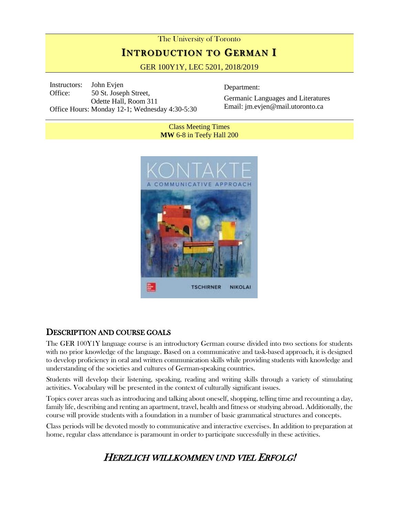# The University of Toronto **INTRODUCTION TO GERMAN I**

GER 100Y1Y, LEC 5201, 2018/2019

Instructors: John Evjen Office: 50 St. Joseph Street, Odette Hall, Room 311 Office Hours: Monday 12-1; Wednesday 4:30-5:30

Department:

Germanic Languages and Literatures Email: jm.evjen@mail.utoronto.ca

Class Meeting Times **MW** 6-8 in Teefy Hall 200



## DESCRIPTION AND COURSE GOALS

The GER 100Y1Y language course is an introductory German course divided into two sections for students with no prior knowledge of the language. Based on a communicative and task-based approach, it is designed to develop proficiency in oral and written communication skills while providing students with knowledge and understanding of the societies and cultures of German-speaking countries.

Students will develop their listening, speaking, reading and writing skills through a variety of stimulating activities. Vocabulary will be presented in the context of culturally significant issues.

Topics cover areas such as introducing and talking about oneself, shopping, telling time and recounting a day, family life, describing and renting an apartment, travel, health and fitness or studying abroad. Additionally, the course will provide students with a foundation in a number of basic grammatical structures and concepts.

Class periods will be devoted mostly to communicative and interactive exercises. In addition to preparation at home, regular class attendance is paramount in order to participate successfully in these activities.

## HERZLICH WILLKOMMEN UND VIEL ERFOLG!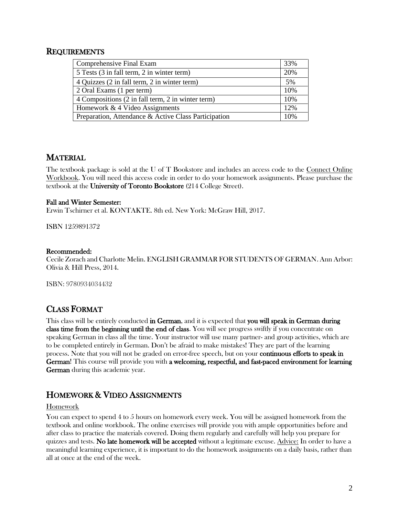#### **REQUIREMENTS**

| Comprehensive Final Exam                             | 33% |
|------------------------------------------------------|-----|
| 5 Tests (3 in fall term, 2 in winter term)           | 20% |
| 4 Quizzes (2 in fall term, 2 in winter term)         | 5%  |
| 2 Oral Exams (1 per term)                            | 10% |
| 4 Compositions (2 in fall term, 2 in winter term)    | 10% |
| Homework $& 4$ Video Assignments                     | 12% |
| Preparation, Attendance & Active Class Participation | 10% |

## MATERIAL

The textbook package is sold at the U of T Bookstore and includes an access code to the Connect Online Workbook. You will need this access code in order to do your homework assignments. Please purchase the textbook at the University of Toronto Bookstore (214 College Street).

#### Fall and Winter Semester:

Erwin Tschirner et al. KONTAKTE. 8th ed. New York: McGraw Hill, 2017.

ISBN 1259891372

#### Recommended:

Cecile Zorach and Charlotte Melin. ENGLISH GRAMMAR FOR STUDENTS OF GERMAN. Ann Arbor: Olivia & Hill Press, 2014.

ISBN: 9780934034432

## CLASS FORMAT

This class will be entirely conducted in German, and it is expected that you will speak in German during class time from the beginning until the end of class. You will see progress swiftly if you concentrate on speaking German in class all the time. Your instructor will use many partner- and group activities, which are to be completed entirely in German. Don't be afraid to make mistakes! They are part of the learning process. Note that you will not be graded on error-free speech, but on your continuous efforts to speak in German! This course will provide you with a welcoming, respectful, and fast-paced environment for learning German during this academic year.

## HOMEWORK & VIDEO ASSIGNMENTS

#### Homework

You can expect to spend 4 to 5 hours on homework every week. You will be assigned homework from the textbook and online workbook. The online exercises will provide you with ample opportunities before and after class to practice the materials covered. Doing them regularly and carefully will help you prepare for quizzes and tests. No late homework will be accepted without a legitimate excuse. Advice: In order to have a meaningful learning experience, it is important to do the homework assignments on a daily basis, rather than all at once at the end of the week.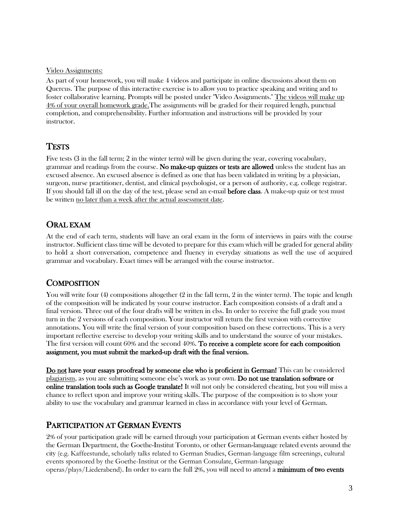#### Video Assignments:

As part of your homework, you will make 4 videos and participate in online discussions about them on Quercus. The purpose of this interactive exercise is to allow you to practice speaking and writing and to foster collaborative learning. Prompts will be posted under "Video Assignments." The videos will make up 4% of your overall homework grade.The assignments will be graded for their required length, punctual completion, and comprehensibility. Further information and instructions will be provided by your instructor.

#### **TESTS**

Five tests (3 in the fall term; 2 in the winter term) will be given during the year, covering vocabulary, grammar and readings from the course. No make-up quizzes or tests are allowed unless the student has an excused absence. An excused absence is defined as one that has been validated in writing by a physician, surgeon, nurse practitioner, dentist, and clinical psychologist, or a person of authority, e.g. college registrar. If you should fall ill on the day of the test, please send an e-mail before class. A make-up quiz or test must be written no later than a week after the actual assessment date.

#### ORAL EXAM

At the end of each term, students will have an oral exam in the form of interviews in pairs with the course instructor. Sufficient class time will be devoted to prepare for this exam which will be graded for general ability to hold a short conversation, competence and fluency in everyday situations as well the use of acquired grammar and vocabulary. Exact times will be arranged with the course instructor.

#### **COMPOSITION**

You will write four (4) compositions altogether (2 in the fall term, 2 in the winter term). The topic and length of the composition will be indicated by your course instructor. Each composition consists of a draft and a final version. Three out of the four drafts will be written in clss. In order to receive the full grade you must turn in the 2 versions of each composition. Your instructor will return the first version with corrective annotations. You will write the final version of your composition based on these corrections. This is a very important reflective exercise to develop your writing skills and to understand the source of your mistakes. The first version will count 60% and the second 40%. To receive a complete score for each composition assignment, you must submit the marked-up draft with the final version.

Do not have your essays proofread by someone else who is proficient in German! This can be considered plagiarism, as you are submitting someone else's work as your own. Do not use translation software or online translation tools such as Google translate! It will not only be considered cheating, but you will miss a chance to reflect upon and improve your writing skills. The purpose of the composition is to show your ability to use the vocabulary and grammar learned in class in accordance with your level of German.

#### PARTICIPATION AT GERMAN EVENTS

2% of your participation grade will be earned through your participation at German events either hosted by the German Department, the Goethe-Institut Toronto, or other German-language related events around the city (e.g. Kaffeestunde, scholarly talks related to German Studies, German-language film screenings, cultural events sponsored by the Goethe-Institut or the German Consulate, German-language operas/plays/Liederabend). In order to earn the full 2%, you will need to attend a minimum of two events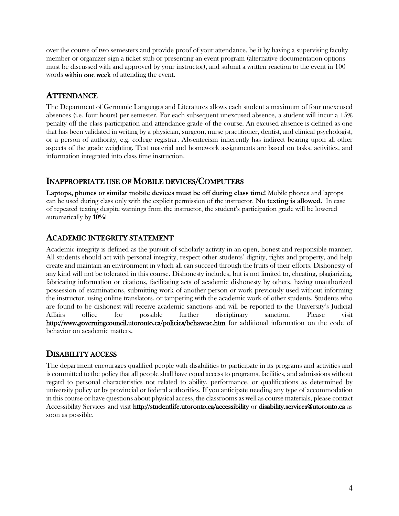over the course of two semesters and provide proof of your attendance, be it by having a supervising faculty member or organizer sign a ticket stub or presenting an event program (alternative documentation options must be discussed with and approved by your instructor), and submit a written reaction to the event in 100 words within one week of attending the event.

#### **ATTENDANCE**

The Department of Germanic Languages and Literatures allows each student a maximum of four unexcused absences (i.e. four hours) per semester. For each subsequent unexcused absence, a student will incur a 15% penalty off the class participation and attendance grade of the course. An excused absence is defined as one that has been validated in writing by a physician, surgeon, nurse practitioner, dentist, and clinical psychologist, or a person of authority, e.g. college registrar. Absenteeism inherently has indirect bearing upon all other aspects of the grade weighting. Test material and homework assignments are based on tasks, activities, and information integrated into class time instruction.

#### INAPPROPRIATE USE OF MOBILE DEVICES/COMPUTERS

**Laptops, phones or similar mobile devices must be off during class time!** Mobile phones and laptops can be used during class only with the explicit permission of the instructor. **No texting is allowed.** In case of repeated texting despite warnings from the instructor, the student's participation grade will be lowered automatically by **10%**!

#### ACADEMIC INTEGRITY STATEMENT

Academic integrity is defined as the pursuit of scholarly activity in an open, honest and responsible manner. All students should act with personal integrity, respect other students' dignity, rights and property, and help create and maintain an environment in which all can succeed through the fruits of their efforts. Dishonesty of any kind will not be tolerated in this course. Dishonesty includes, but is not limited to, cheating, plagiarizing, fabricating information or citations, facilitating acts of academic dishonesty by others, having unauthorized possession of examinations, submitting work of another person or work previously used without informing the instructor, using online translators, or tampering with the academic work of other students. Students who are found to be dishonest will receive academic sanctions and will be reported to the University's Judicial Affairs office for possible further disciplinary sanction. Please visit <http://www.governingcouncil.utoronto.ca/policies/behaveac.htm> for additional information on the code of behavior on academic matters.

#### DISABILITY ACCESS

The department encourages qualified people with disabilities to participate in its programs and activities and is committed to the policy that all people shall have equal access to programs, facilities, and admissions without regard to personal characteristics not related to ability, performance, or qualifications as determined by university policy or by provincial or federal authorities. If you anticipate needing any type of accommodation in this course or have questions about physical access, the classrooms as well as course materials, please contact Accessibility Services and visit <http://studentlife.utoronto.ca/accessibility> or [disability.services@utoronto.ca](mailto:disability.services@utoronto.ca) as soon as possible.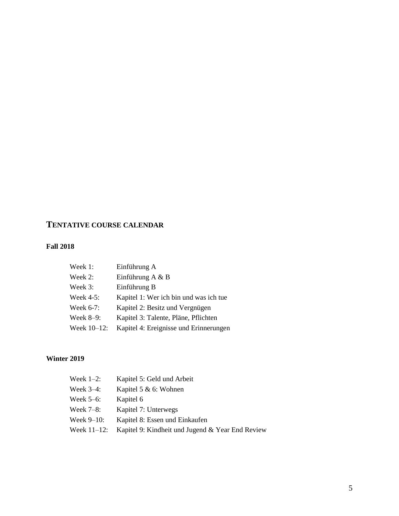## **TENTATIVE COURSE CALENDAR**

#### **Fall 2018**

| Week 1:      | Einführung A                           |
|--------------|----------------------------------------|
| Week 2:      | Einführung A $\&$ B                    |
| Week 3:      | Einführung B                           |
| Week $4-5$ : | Kapitel 1: Wer ich bin und was ich tue |
| Week 6-7:    | Kapitel 2: Besitz und Vergnügen        |
| Week $8-9$ : | Kapitel 3: Talente, Pläne, Pflichten   |
| Week 10-12:  | Kapitel 4: Ereignisse und Erinnerungen |

#### **Winter 2019**

| Week $1-2$ :   | Kapitel 5: Geld und Arbeit                       |
|----------------|--------------------------------------------------|
| Week $3-4$ :   | Kapitel 5 $& 6:$ Wohnen                          |
| Week $5-6$ :   | Kapitel 6                                        |
| Week $7-8$ :   | Kapitel 7: Unterwegs                             |
| Week $9-10$ :  | Kapitel 8: Essen und Einkaufen                   |
| Week $11-12$ : | Kapitel 9: Kindheit und Jugend & Year End Review |
|                |                                                  |